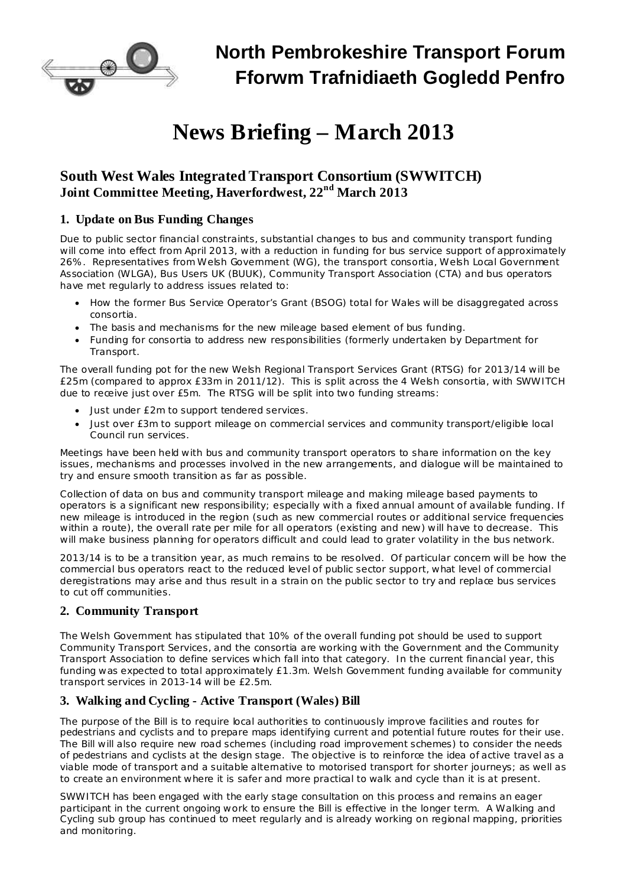

## **North Pembrokeshire Transport Forum Fforwm Trafnidiaeth Gogledd Penfro**

# **News Briefing – March 2013**

## **South West Wales Integrated Transport Consortium (SWWITCH) Joint Committee Meeting, Haverfordwest, 22 nd March 2013**

#### **1. Update on Bus Funding Changes**

Due to public sector financial constraints, substantial changes to bus and community transport funding will come into effect from April 2013, with a reduction in funding for bus service support of approximately 26%. Representatives from Welsh Government (WG), the transport consortia, Welsh Local Government Association (WLGA), Bus Users UK (BUUK), Community Transport Association (CTA) and bus operators have met regularly to address issues related to:

- · How the former Bus Service Operator's Grant (BSOG) total for Wales will be disaggregated across consortia.
- The basis and mechanisms for the new mileage based element of bus funding.
- · Funding for consortia to address new responsibilities (formerly undertaken by Department for Transport.

The overall funding pot for the new Welsh Regional Transport Services Grant (RTSG) for 2013/14 will be £25m (compared to approx £33m in 2011/12). This is split across the 4 Welsh consortia, with SWWITCH due to receive just over £5m. The RTSG will be split into two funding streams:

- Just under £2m to support tendered services.
- · Just over £3m to support mileage on commercial services and community transport/eligible local Council run services.

Meetings have been held with bus and community transport operators to share information on the key issues, mechanisms and processes involved in the new arrangements, and dialogue will be maintained to try and ensure smooth transition as far as possible.

Collection of data on bus and community transport mileage and making mileage based payments to operators is a significant new responsibility; especially with a fixed annual amount of available funding. If new mileage is introduced in the region (such as new commercial routes or additional service frequencies within a route), the overall rate per mile for all operators (existing and new) will have to decrease. This will make business planning for operators difficult and could lead to grater volatility in the bus network.

2013/14 is to be a transition year, as much remains to be resolved. Of particular concern will be how the commercial bus operators react to the reduced level of public sector support, what level of commercial deregistrations may arise and thus result in a strain on the public sector to try and replace bus services to cut off communities.

#### **2. Community Transport**

The Welsh Government has stipulated that 10% of the overall funding pot should be used to support Community Transport Services, and the consortia are working with the Government and the Community Transport Association to define services which fall into that category. In the current financial year, this funding was expected to total approximately £1.3m. Welsh Government funding available for community transport services in 2013-14 will be £2.5m.

#### **3. Walking and Cycling - Active Transport (Wales) Bill**

The purpose of the Bill is to require local authorities to continuously improve facilities and routes for pedestrians and cyclists and to prepare maps identifying current and potential future routes for their use. The Bill will also require new road schemes (including road improvement schemes) to consider the needs of pedestrians and cyclists at the design stage. The objective is to reinforce the idea of active travel as a viable mode of transport and a suitable alternative to motorised transport for shorter journeys; as well as to create an environment where it is safer and more practical to walk and cycle than it is at present.

SWWITCH has been engaged with the early stage consultation on this process and remains an eager participant in the current ongoing work to ensure the Bill is effective in the longer term. A Walking and Cycling sub group has continued to meet regularly and is already working on regional mapping, priorities and monitoring.